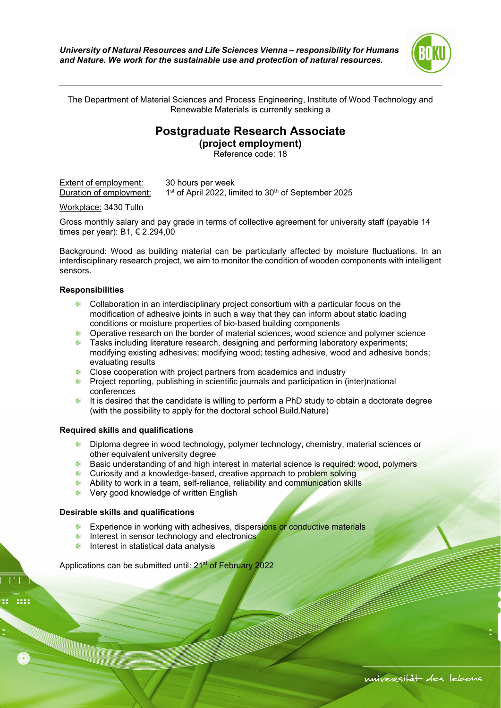

The Department of Material Sciences and Process Engineering, Institute of Wood Technology and Renewable Materials is currently seeking a

## **Postgraduate Research Associate**

**(project employment)**  Reference code: 18

Extent of employment: 30 hours per week Duration of employment:  $1<sup>st</sup>$  of April 2022, limited to 30<sup>th</sup> of September 2025

Workplace: 3430 Tulln

Gross monthly salary and pay grade in terms of collective agreement for university staff (payable 14 times per year): B1, € 2.294,00

Background: Wood as building material can be particularly affected by moisture fluctuations. In an interdisciplinary research project, we aim to monitor the condition of wooden components with intelligent sensors.

## **Responsibilities**

- Collaboration in an interdisciplinary project consortium with a particular focus on the modification of adhesive joints in such a way that they can inform about static loading conditions or moisture properties of bio-based building components
- **Operative research on the border of material sciences, wood science and polymer science**
- **•** Tasks including literature research, designing and performing laboratory experiments; modifying existing adhesives; modifying wood; testing adhesive, wood and adhesive bonds; evaluating results
- **Close cooperation with project partners from academics and industry**
- **•** Project reporting, publishing in scientific journals and participation in (inter)national conferences
- $\bullet$  It is desired that the candidate is willing to perform a PhD study to obtain a doctorate degree (with the possibility to apply for the doctoral school Build.Nature)

## **Required skills and qualifications**

- Diploma degree in wood technology, polymer technology, chemistry, material sciences or other equivalent university degree
- **Basic understanding of and high interest in material science is required: wood, polymers**
- **Curiosity and a knowledge-based, creative approach to problem solving**
- Ability to work in a team, self-reliance, reliability and communication skills
- **E** Very good knowledge of written English

## **Desirable skills and qualifications**

- **Experience in working with adhesives, dispersions or conductive materials**
- **Interest in sensor technology and electronics**
- $\bullet$  Interest in statistical data analysis

Applications can be submitted until: 21<sup>st</sup> of February 2022